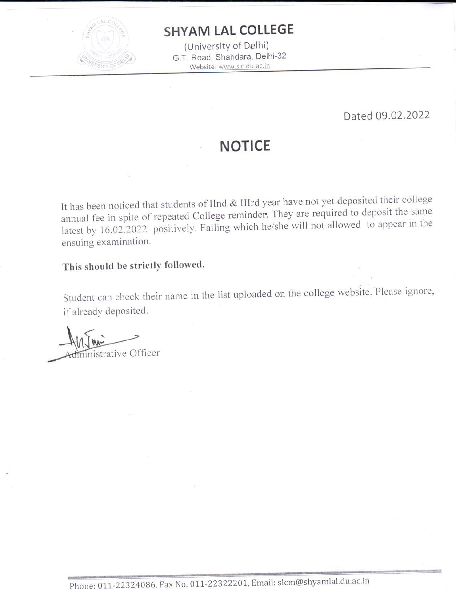

## **SHYAM LAL COLLEGE**

(University of Delhi) G.T. Road, Shahdara, Delhi-32 Website: www.slc.du.ac.in

Dated 09.02.2022

## **NOTICE**

It has been noticed that students of IInd & IIIrd year have not yet deposited their college annual fee in spite of repeated College reminder. They are required to deposit the same latest by 16.02.2022 positively. Failing which he/she will not allowed to appear in the ensuing examination.

## This should be strictly followed.

Student can check their name in the list uploaded on the college website. Please ignore, if already deposited.

dininistrative Officer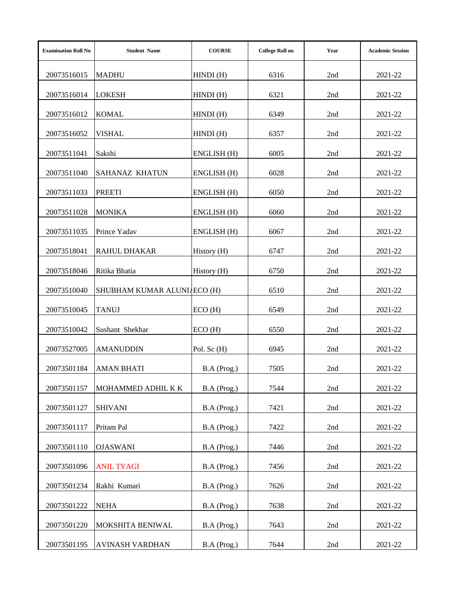| <b>Examination Roll No</b> | <b>Student Name</b>         | <b>COURSE</b> | <b>College Roll no</b> | Year  | <b>Academic Session</b> |
|----------------------------|-----------------------------|---------------|------------------------|-------|-------------------------|
| 20073516015                | <b>MADHU</b>                | HINDI(H)      | 6316                   | 2nd   | 2021-22                 |
| 20073516014                | <b>LOKESH</b>               | HINDI(H)      | 6321                   | 2nd   | 2021-22                 |
| 20073516012                | <b>KOMAL</b>                | HINDI(H)      | 6349                   | 2nd   | 2021-22                 |
| 20073516052                | <b>VISHAL</b>               | HINDI(H)      | 6357                   | 2nd   | 2021-22                 |
| 20073511041                | Sakshi                      | ENGLISH (H)   | 6005                   | 2nd   | 2021-22                 |
| 20073511040                | <b>SAHANAZ KHATUN</b>       | ENGLISH (H)   | 6028                   | 2nd   | 2021-22                 |
| 20073511033                | <b>PREETI</b>               | ENGLISH (H)   | 6050                   | 2nd   | 2021-22                 |
| 20073511028                | <b>MONIKA</b>               | ENGLISH (H)   | 6060                   | 2nd   | 2021-22                 |
| 20073511035                | Prince Yadav                | ENGLISH (H)   | 6067                   | 2nd   | 2021-22                 |
| 20073518041                | <b>RAHUL DHAKAR</b>         | History (H)   | 6747                   | 2nd   | 2021-22                 |
| 20073518046                | Ritika Bhatia               | History (H)   | 6750                   | 2nd   | 2021-22                 |
| 20073510040                | SHUBHAM KUMAR ALUNIAECO (H) |               | 6510                   | 2nd   | 2021-22                 |
| 20073510045                | <b>TANUJ</b>                | ECO(H)        | 6549                   | 2nd   | 2021-22                 |
| 20073510042                | Sushant Shekhar             | ECO(H)        | 6550                   | 2nd   | 2021-22                 |
| 20073527005                | <b>AMANUDDIN</b>            | Pol. Sc (H)   | 6945                   | 2nd   | 2021-22                 |
| 20073501184                | <b>AMAN BHATI</b>           | B.A (Prog.)   | 7505                   | 2nd   | 2021-22                 |
| 20073501157                | MOHAMMED ADHIL K K          | B.A (Prog.)   | 7544                   | 2nd   | 2021-22                 |
| 20073501127                | <b>SHIVANI</b>              | B.A (Prog.)   | 7421                   | 2nd   | 2021-22                 |
| 20073501117                | Pritam Pal                  | B.A (Prog.)   | 7422                   | 2nd   | 2021-22                 |
| 20073501110                | <b>OJASWANI</b>             | B.A (Prog.)   | 7446                   | 2nd   | 2021-22                 |
| 20073501096                | <b>ANIL TYAGI</b>           | B.A (Prog.)   | 7456                   | 2nd   | 2021-22                 |
| 20073501234                | Rakhi Kumari                | B.A (Prog.)   | 7626                   | 2nd   | 2021-22                 |
| 20073501222                | <b>NEHA</b>                 | B.A (Prog.)   | 7638                   | 2nd   | 2021-22                 |
| 20073501220                | MOKSHITA BENIWAL            | B.A (Prog.)   | 7643                   | 2nd   | 2021-22                 |
| 20073501195                | <b>AVINASH VARDHAN</b>      | B.A (Prog.)   | 7644                   | $2nd$ | 2021-22                 |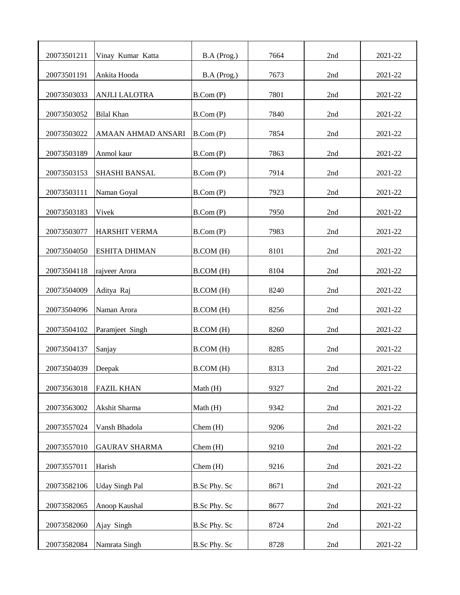| 20073501211 | Vinay Kumar Katta     | B.A (Prog.)         | 7664 | 2nd   | 2021-22 |
|-------------|-----------------------|---------------------|------|-------|---------|
| 20073501191 | Ankita Hooda          | B.A (Prog.)         | 7673 | 2nd   | 2021-22 |
| 20073503033 | <b>ANJLI LALOTRA</b>  | B. Com(P)           | 7801 | 2nd   | 2021-22 |
| 20073503052 | <b>Bilal Khan</b>     | B.Com(P)            | 7840 | 2nd   | 2021-22 |
| 20073503022 | AMAAN AHMAD ANSARI    | B. Com(P)           | 7854 | 2nd   | 2021-22 |
| 20073503189 | Anmol kaur            | B. Com(P)           | 7863 | 2nd   | 2021-22 |
| 20073503153 | SHASHI BANSAL         | B. Com(P)           | 7914 | 2nd   | 2021-22 |
| 20073503111 | Naman Goyal           | B. Com(P)           | 7923 | 2nd   | 2021-22 |
| 20073503183 | Vivek                 | B. Com(P)           | 7950 | 2nd   | 2021-22 |
| 20073503077 | <b>HARSHIT VERMA</b>  | B.Com(P)            | 7983 | 2nd   | 2021-22 |
| 20073504050 | <b>ESHITA DHIMAN</b>  | B.COM (H)           | 8101 | 2nd   | 2021-22 |
| 20073504118 | rajveer Arora         | B.COM (H)           | 8104 | 2nd   | 2021-22 |
| 20073504009 | Aditya Raj            | B.COM (H)           | 8240 | 2nd   | 2021-22 |
| 20073504096 | Naman Arora           | B.COM (H)           | 8256 | 2nd   | 2021-22 |
| 20073504102 | Paramjeet Singh       | B.COM (H)           | 8260 | 2nd   | 2021-22 |
| 20073504137 | Sanjay                | B.COM (H)           | 8285 | 2nd   | 2021-22 |
| 20073504039 | Deepak                | B.COM (H)           | 8313 | 2nd   | 2021-22 |
| 20073563018 | <b>FAZIL KHAN</b>     | Math $(H)$          | 9327 | 2nd   | 2021-22 |
| 20073563002 | Akshit Sharma         | Math (H)            | 9342 | 2nd   | 2021-22 |
| 20073557024 | Vansh Bhadola         | Chem (H)            | 9206 | 2nd   | 2021-22 |
| 20073557010 | <b>GAURAV SHARMA</b>  | Chem (H)            | 9210 | 2nd   | 2021-22 |
| 20073557011 | Harish                | Chem(H)             | 9216 | 2nd   | 2021-22 |
| 20073582106 | <b>Uday Singh Pal</b> | B.Sc Phy. Sc        | 8671 | $2nd$ | 2021-22 |
| 20073582065 | Anoop Kaushal         | B.Sc Phy. Sc        | 8677 | 2nd   | 2021-22 |
| 20073582060 | Ajay Singh            | B.Sc Phy. Sc        | 8724 | 2nd   | 2021-22 |
| 20073582084 | Namrata Singh         | <b>B.Sc Phy. Sc</b> | 8728 | 2nd   | 2021-22 |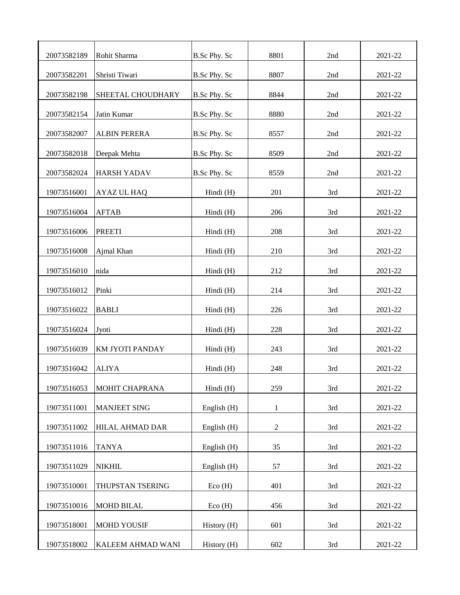| 20073582189 | Rohit Sharma        | <b>B.Sc Phy. Sc</b> | 8801           | 2nd | 2021-22 |
|-------------|---------------------|---------------------|----------------|-----|---------|
| 20073582201 | Shristi Tiwari      | B.Sc Phy. Sc        | 8807           | 2nd | 2021-22 |
| 20073582198 | SHEETAL CHOUDHARY   | B.Sc Phy. Sc        | 8844           | 2nd | 2021-22 |
| 20073582154 | Jatin Kumar         | B.Sc Phy. Sc        | 8880           | 2nd | 2021-22 |
| 20073582007 | <b>ALBIN PERERA</b> | B.Sc Phy. Sc        | 8557           | 2nd | 2021-22 |
| 20073582018 | Deepak Mehta        | B.Sc Phy. Sc        | 8509           | 2nd | 2021-22 |
| 20073582024 | <b>HARSH YADAV</b>  | B.Sc Phy. Sc        | 8559           | 2nd | 2021-22 |
| 19073516001 | AYAZ UL HAQ         | Hindi (H)           | 201            | 3rd | 2021-22 |
| 19073516004 | <b>AFTAB</b>        | Hindi (H)           | 206            | 3rd | 2021-22 |
| 19073516006 | <b>PREETI</b>       | Hindi (H)           | 208            | 3rd | 2021-22 |
| 19073516008 | Ajmal Khan          | Hindi (H)           | 210            | 3rd | 2021-22 |
| 19073516010 | nida                | Hindi (H)           | 212            | 3rd | 2021-22 |
| 19073516012 | Pinki               | Hindi (H)           | 214            | 3rd | 2021-22 |
| 19073516022 | <b>BABLI</b>        | Hindi (H)           | 226            | 3rd | 2021-22 |
| 19073516024 | Jyoti               | Hindi (H)           | 228            | 3rd | 2021-22 |
| 19073516039 | KM JYOTI PANDAY     | Hindi (H)           | 243            | 3rd | 2021-22 |
| 19073516042 | <b>ALIYA</b>        | Hindi (H)           | 248            | 3rd | 2021-22 |
| 19073516053 | MOHIT CHAPRANA      | Hindi (H)           | 259            | 3rd | 2021-22 |
| 19073511001 | <b>MANJEET SING</b> | English (H)         | $\mathbf{1}$   | 3rd | 2021-22 |
| 19073511002 | HILAL AHMAD DAR     | English (H)         | $\overline{c}$ | 3rd | 2021-22 |
| 19073511016 | <b>TANYA</b>        | English (H)         | 35             | 3rd | 2021-22 |
| 19073511029 | <b>NIKHIL</b>       | English (H)         | 57             | 3rd | 2021-22 |
| 19073510001 | THUPSTAN TSERING    | Eco(H)              | 401            | 3rd | 2021-22 |
| 19073510016 | <b>MOHD BILAL</b>   | Eco(H)              | 456            | 3rd | 2021-22 |
| 19073518001 | <b>MOHD YOUSIF</b>  | History (H)         | 601            | 3rd | 2021-22 |
| 19073518002 | KALEEM AHMAD WANI   | History (H)         | 602            | 3rd | 2021-22 |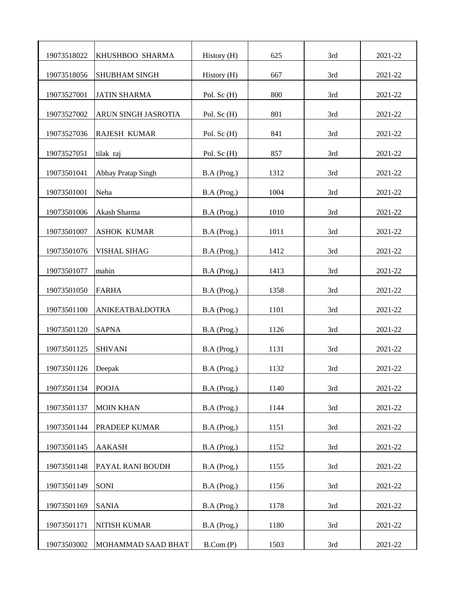| 19073518022 | KHUSHBOO SHARMA      | History (H) | 625  | 3rd | 2021-22 |
|-------------|----------------------|-------------|------|-----|---------|
| 19073518056 | <b>SHUBHAM SINGH</b> | History (H) | 667  | 3rd | 2021-22 |
| 19073527001 | <b>JATIN SHARMA</b>  | Pol. Sc (H) | 800  | 3rd | 2021-22 |
| 19073527002 | ARUN SINGH JASROTIA  | Pol. Sc (H) | 801  | 3rd | 2021-22 |
| 19073527036 | <b>RAJESH KUMAR</b>  | Pol. Sc (H) | 841  | 3rd | 2021-22 |
| 19073527051 | tilak raj            | Pol. Sc (H) | 857  | 3rd | 2021-22 |
| 19073501041 | Abhay Pratap Singh   | B.A (Prog.) | 1312 | 3rd | 2021-22 |
| 19073501001 | Neha                 | B.A (Prog.) | 1004 | 3rd | 2021-22 |
| 19073501006 | Akash Sharma         | B.A (Prog.) | 1010 | 3rd | 2021-22 |
| 19073501007 | <b>ASHOK KUMAR</b>   | B.A (Prog.) | 1011 | 3rd | 2021-22 |
| 19073501076 | <b>VISHAL SIHAG</b>  | B.A (Prog.) | 1412 | 3rd | 2021-22 |
| 19073501077 | mahin                | B.A (Prog.) | 1413 | 3rd | 2021-22 |
| 19073501050 | <b>FARHA</b>         | B.A (Prog.) | 1358 | 3rd | 2021-22 |
| 19073501100 | ANIKEATBALDOTRA      | B.A (Prog.) | 1101 | 3rd | 2021-22 |
| 19073501120 | <b>SAPNA</b>         | B.A (Prog.) | 1126 | 3rd | 2021-22 |
| 19073501125 | <b>SHIVANI</b>       | B.A (Prog.) | 1131 | 3rd | 2021-22 |
| 19073501126 | Deepak               | B.A (Prog.) | 1132 | 3rd | 2021-22 |
| 19073501134 | <b>POOJA</b>         | B.A (Prog.) | 1140 | 3rd | 2021-22 |
| 19073501137 | <b>MOIN KHAN</b>     | B.A (Prog.) | 1144 | 3rd | 2021-22 |
| 19073501144 | PRADEEP KUMAR        | B.A (Prog.) | 1151 | 3rd | 2021-22 |
| 19073501145 | <b>AAKASH</b>        | B.A (Prog.) | 1152 | 3rd | 2021-22 |
| 19073501148 | PAYAL RANI BOUDH     | B.A (Prog.) | 1155 | 3rd | 2021-22 |
| 19073501149 | SONI                 | B.A (Prog.) | 1156 | 3rd | 2021-22 |
| 19073501169 | <b>SANIA</b>         | B.A (Prog.) | 1178 | 3rd | 2021-22 |
| 19073501171 | NITISH KUMAR         | B.A (Prog.) | 1180 | 3rd | 2021-22 |
| 19073503002 | MOHAMMAD SAAD BHAT   | B.Com(P)    | 1503 | 3rd | 2021-22 |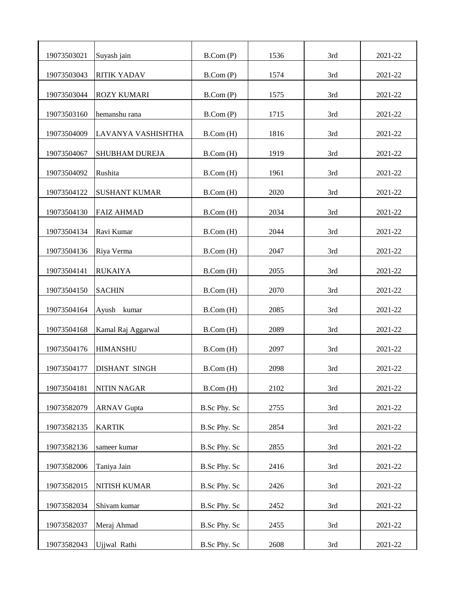| 19073503021 | Suyash jain           | B. Com(P)           | 1536 | 3rd | 2021-22 |
|-------------|-----------------------|---------------------|------|-----|---------|
| 19073503043 | <b>RITIK YADAV</b>    | B.Com(P)            | 1574 | 3rd | 2021-22 |
| 19073503044 | <b>ROZY KUMARI</b>    | B. Com(P)           | 1575 | 3rd | 2021-22 |
| 19073503160 | hemanshu rana         | B.Com(P)            | 1715 | 3rd | 2021-22 |
| 19073504009 | LAVANYA VASHISHTHA    | B.Com(H)            | 1816 | 3rd | 2021-22 |
| 19073504067 | <b>SHUBHAM DUREJA</b> | B.Com(H)            | 1919 | 3rd | 2021-22 |
| 19073504092 | Rushita               | B.Com(H)            | 1961 | 3rd | 2021-22 |
| 19073504122 | <b>SUSHANT KUMAR</b>  | B.Com(H)            | 2020 | 3rd | 2021-22 |
| 19073504130 | <b>FAIZ AHMAD</b>     | B.Com(H)            | 2034 | 3rd | 2021-22 |
| 19073504134 | Ravi Kumar            | B. Com(H)           | 2044 | 3rd | 2021-22 |
| 19073504136 | Riya Verma            | B.Com(H)            | 2047 | 3rd | 2021-22 |
| 19073504141 | <b>RUKAIYA</b>        | B.Com(H)            | 2055 | 3rd | 2021-22 |
| 19073504150 | <b>SACHIN</b>         | B.Com(H)            | 2070 | 3rd | 2021-22 |
| 19073504164 | Ayush<br>kumar        | B. Com(H)           | 2085 | 3rd | 2021-22 |
| 19073504168 | Kamal Raj Aggarwal    | B. Com(H)           | 2089 | 3rd | 2021-22 |
| 19073504176 | <b>HIMANSHU</b>       | B. Com(H)           | 2097 | 3rd | 2021-22 |
| 19073504177 | DISHANT SINGH         | B. Com(H)           | 2098 | 3rd | 2021-22 |
| 19073504181 | <b>NITIN NAGAR</b>    | B. Com(H)           | 2102 | 3rd | 2021-22 |
| 19073582079 | <b>ARNAV Gupta</b>    | B.Sc Phy. Sc        | 2755 | 3rd | 2021-22 |
| 19073582135 | <b>KARTIK</b>         | B.Sc Phy. Sc        | 2854 | 3rd | 2021-22 |
| 19073582136 | sameer kumar          | B.Sc Phy. Sc        | 2855 | 3rd | 2021-22 |
| 19073582006 | Taniya Jain           | <b>B.Sc Phy. Sc</b> | 2416 | 3rd | 2021-22 |
| 19073582015 | NITISH KUMAR          | B.Sc Phy. Sc        | 2426 | 3rd | 2021-22 |
| 19073582034 | Shivam kumar          | B.Sc Phy. Sc        | 2452 | 3rd | 2021-22 |
| 19073582037 | Meraj Ahmad           | B.Sc Phy. Sc        | 2455 | 3rd | 2021-22 |
| 19073582043 | Ujjwal Rathi          | B.Sc Phy. Sc        | 2608 | 3rd | 2021-22 |